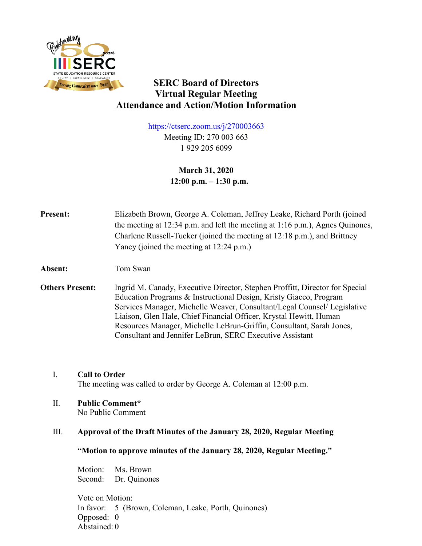

# **SERC Board of Directors Virtual Regular Meeting Attendance and Action/Motion Information**

<https://ctserc.zoom.us/j/270003663> Meeting ID: 270 003 663 1 929 205 6099

> **March 31, 2020 12:00 p.m. – 1:30 p.m.**

**Present:** Elizabeth Brown, George A. Coleman, Jeffrey Leake, Richard Porth (joined the meeting at 12:34 p.m. and left the meeting at 1:16 p.m.), Agnes Quinones, Charlene Russell-Tucker (joined the meeting at 12:18 p.m.), and Brittney Yancy (joined the meeting at 12:24 p.m.)

**Absent:** Tom Swan

**Others Present:** Ingrid M. Canady, Executive Director, Stephen Proffitt, Director for Special Education Programs & Instructional Design, Kristy Giacco, Program Services Manager, Michelle Weaver, Consultant/Legal Counsel/ Legislative Liaison, Glen Hale, Chief Financial Officer, Krystal Hewitt, Human Resources Manager, Michelle LeBrun-Griffin, Consultant, Sarah Jones, Consultant and Jennifer LeBrun, SERC Executive Assistant

I. **Call to Order** The meeting was called to order by George A. Coleman at 12:00 p.m.

II. **Public Comment\***

No Public Comment

## III. **Approval of the Draft Minutes of the January 28, 2020, Regular Meeting**

**"Motion to approve minutes of the January 28, 2020, Regular Meeting."**

Motion: Ms. Brown Second: Dr. Quinones

Vote on Motion: In favor: 5 (Brown, Coleman, Leake, Porth, Quinones) Opposed: 0 Abstained: 0